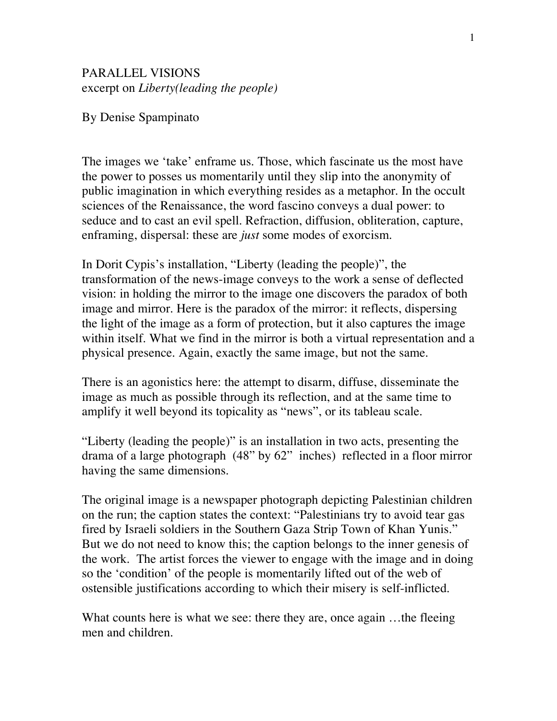## PARALLEL VISIONS excerpt on *Liberty(leading the people)*

By Denise Spampinato

The images we 'take' enframe us. Those, which fascinate us the most have the power to posses us momentarily until they slip into the anonymity of public imagination in which everything resides as a metaphor. In the occult sciences of the Renaissance, the word fascino conveys a dual power: to seduce and to cast an evil spell. Refraction, diffusion, obliteration, capture, enframing, dispersal: these are *just* some modes of exorcism.

In Dorit Cypis's installation, "Liberty (leading the people)", the transformation of the news-image conveys to the work a sense of deflected vision: in holding the mirror to the image one discovers the paradox of both image and mirror. Here is the paradox of the mirror: it reflects, dispersing the light of the image as a form of protection, but it also captures the image within itself. What we find in the mirror is both a virtual representation and a physical presence. Again, exactly the same image, but not the same.

There is an agonistics here: the attempt to disarm, diffuse, disseminate the image as much as possible through its reflection, and at the same time to amplify it well beyond its topicality as "news", or its tableau scale.

"Liberty (leading the people)" is an installation in two acts, presenting the drama of a large photograph (48" by 62" inches) reflected in a floor mirror having the same dimensions.

The original image is a newspaper photograph depicting Palestinian children on the run; the caption states the context: "Palestinians try to avoid tear gas fired by Israeli soldiers in the Southern Gaza Strip Town of Khan Yunis." But we do not need to know this; the caption belongs to the inner genesis of the work*.* The artist forces the viewer to engage with the image and in doing so the 'condition' of the people is momentarily lifted out of the web of ostensible justifications according to which their misery is self-inflicted.

What counts here is what we see: there they are, once again ...the fleeing men and children.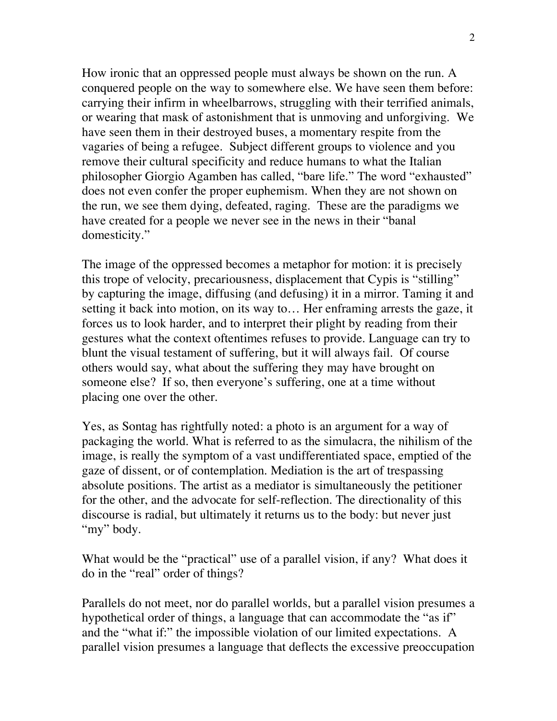How ironic that an oppressed people must always be shown on the run. A conquered people on the way to somewhere else. We have seen them before: carrying their infirm in wheelbarrows, struggling with their terrified animals, or wearing that mask of astonishment that is unmoving and unforgiving. We have seen them in their destroyed buses, a momentary respite from the vagaries of being a refugee. Subject different groups to violence and you remove their cultural specificity and reduce humans to what the Italian philosopher Giorgio Agamben has called, "bare life." The word "exhausted" does not even confer the proper euphemism. When they are not shown on the run, we see them dying, defeated, raging. These are the paradigms we have created for a people we never see in the news in their "banal domesticity."

The image of the oppressed becomes a metaphor for motion: it is precisely this trope of velocity, precariousness, displacement that Cypis is "stilling" by capturing the image, diffusing (and defusing) it in a mirror. Taming it and setting it back into motion, on its way to… Her enframing arrests the gaze, it forces us to look harder, and to interpret their plight by reading from their gestures what the context oftentimes refuses to provide. Language can try to blunt the visual testament of suffering, but it will always fail. Of course others would say, what about the suffering they may have brought on someone else? If so, then everyone's suffering, one at a time without placing one over the other.

Yes, as Sontag has rightfully noted: a photo is an argument for a way of packaging the world. What is referred to as the simulacra, the nihilism of the image, is really the symptom of a vast undifferentiated space, emptied of the gaze of dissent, or of contemplation. Mediation is the art of trespassing absolute positions. The artist as a mediator is simultaneously the petitioner for the other, and the advocate for self-reflection. The directionality of this discourse is radial, but ultimately it returns us to the body: but never just "my" body.

What would be the "practical" use of a parallel vision, if any? What does it do in the "real" order of things?

Parallels do not meet, nor do parallel worlds, but a parallel vision presumes a hypothetical order of things, a language that can accommodate the "as if" and the "what if:" the impossible violation of our limited expectations. A parallel vision presumes a language that deflects the excessive preoccupation